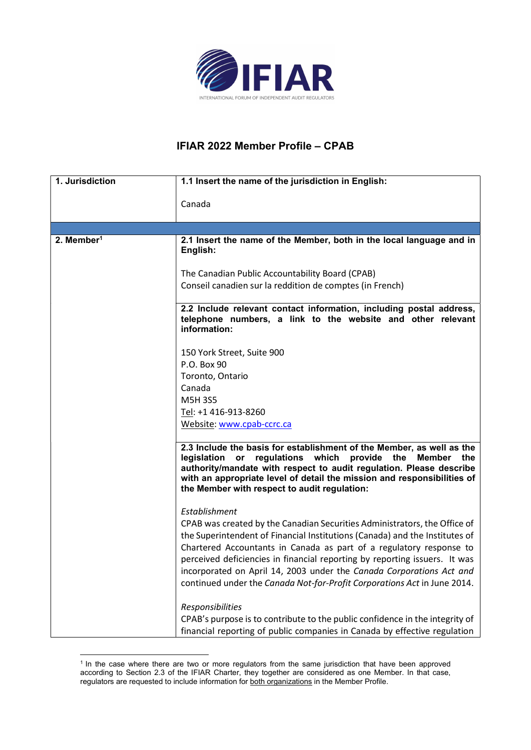

## IFIAR 2022 Member Profile – CPAB

| 1.1 Insert the name of the jurisdiction in English:                                                                                                                                                                                                                                                                                               |
|---------------------------------------------------------------------------------------------------------------------------------------------------------------------------------------------------------------------------------------------------------------------------------------------------------------------------------------------------|
|                                                                                                                                                                                                                                                                                                                                                   |
| Canada                                                                                                                                                                                                                                                                                                                                            |
|                                                                                                                                                                                                                                                                                                                                                   |
| 2.1 Insert the name of the Member, both in the local language and in<br>English:                                                                                                                                                                                                                                                                  |
| The Canadian Public Accountability Board (CPAB)                                                                                                                                                                                                                                                                                                   |
| Conseil canadien sur la reddition de comptes (in French)                                                                                                                                                                                                                                                                                          |
|                                                                                                                                                                                                                                                                                                                                                   |
| 2.2 Include relevant contact information, including postal address,<br>telephone numbers, a link to the website and other relevant<br>information:                                                                                                                                                                                                |
| 150 York Street, Suite 900                                                                                                                                                                                                                                                                                                                        |
| P.O. Box 90                                                                                                                                                                                                                                                                                                                                       |
| Toronto, Ontario                                                                                                                                                                                                                                                                                                                                  |
| Canada                                                                                                                                                                                                                                                                                                                                            |
| <b>M5H3S5</b>                                                                                                                                                                                                                                                                                                                                     |
| Tel: +1 416-913-8260                                                                                                                                                                                                                                                                                                                              |
| Website: www.cpab-ccrc.ca                                                                                                                                                                                                                                                                                                                         |
| 2.3 Include the basis for establishment of the Member, as well as the<br>regulations which<br>provide<br>legislation or<br>the<br>Member<br>the<br>authority/mandate with respect to audit regulation. Please describe<br>with an appropriate level of detail the mission and responsibilities of<br>the Member with respect to audit regulation: |
| Establishment                                                                                                                                                                                                                                                                                                                                     |
| CPAB was created by the Canadian Securities Administrators, the Office of<br>the Superintendent of Financial Institutions (Canada) and the Institutes of                                                                                                                                                                                          |
| Chartered Accountants in Canada as part of a regulatory response to                                                                                                                                                                                                                                                                               |
| perceived deficiencies in financial reporting by reporting issuers. It was                                                                                                                                                                                                                                                                        |
| incorporated on April 14, 2003 under the Canada Corporations Act and                                                                                                                                                                                                                                                                              |
| continued under the Canada Not-for-Profit Corporations Act in June 2014.                                                                                                                                                                                                                                                                          |
|                                                                                                                                                                                                                                                                                                                                                   |
| Responsibilities<br>CPAB's purpose is to contribute to the public confidence in the integrity of                                                                                                                                                                                                                                                  |
| financial reporting of public companies in Canada by effective regulation                                                                                                                                                                                                                                                                         |
|                                                                                                                                                                                                                                                                                                                                                   |

<sup>&</sup>lt;sup>1</sup> In the case where there are two or more regulators from the same jurisdiction that have been approved according to Section 2.3 of the IFIAR Charter, they together are considered as one Member. In that case, regulators are requested to include information for both organizations in the Member Profile.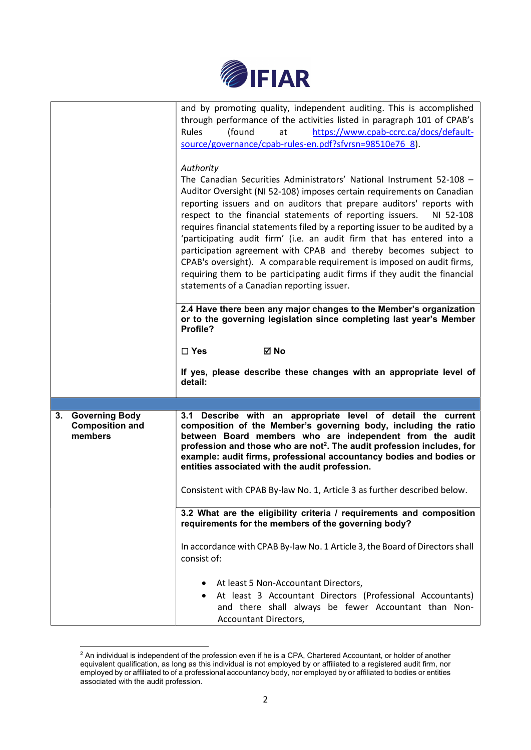

|                                                                  | and by promoting quality, independent auditing. This is accomplished<br>through performance of the activities listed in paragraph 101 of CPAB's<br>https://www.cpab-ccrc.ca/docs/default-<br>Rules<br>(found<br>at<br>source/governance/cpab-rules-en.pdf?sfvrsn=98510e76_8).<br>Authority<br>The Canadian Securities Administrators' National Instrument 52-108 -<br>Auditor Oversight (NI 52-108) imposes certain requirements on Canadian<br>reporting issuers and on auditors that prepare auditors' reports with<br>respect to the financial statements of reporting issuers.<br>NI 52-108<br>requires financial statements filed by a reporting issuer to be audited by a<br>'participating audit firm' (i.e. an audit firm that has entered into a<br>participation agreement with CPAB and thereby becomes subject to<br>CPAB's oversight). A comparable requirement is imposed on audit firms,<br>requiring them to be participating audit firms if they audit the financial<br>statements of a Canadian reporting issuer. |
|------------------------------------------------------------------|-------------------------------------------------------------------------------------------------------------------------------------------------------------------------------------------------------------------------------------------------------------------------------------------------------------------------------------------------------------------------------------------------------------------------------------------------------------------------------------------------------------------------------------------------------------------------------------------------------------------------------------------------------------------------------------------------------------------------------------------------------------------------------------------------------------------------------------------------------------------------------------------------------------------------------------------------------------------------------------------------------------------------------------|
|                                                                  | 2.4 Have there been any major changes to the Member's organization<br>or to the governing legislation since completing last year's Member<br>Profile?                                                                                                                                                                                                                                                                                                                                                                                                                                                                                                                                                                                                                                                                                                                                                                                                                                                                               |
|                                                                  | ⊠ No<br>$\Box$ Yes                                                                                                                                                                                                                                                                                                                                                                                                                                                                                                                                                                                                                                                                                                                                                                                                                                                                                                                                                                                                                  |
|                                                                  | If yes, please describe these changes with an appropriate level of<br>detail:                                                                                                                                                                                                                                                                                                                                                                                                                                                                                                                                                                                                                                                                                                                                                                                                                                                                                                                                                       |
|                                                                  |                                                                                                                                                                                                                                                                                                                                                                                                                                                                                                                                                                                                                                                                                                                                                                                                                                                                                                                                                                                                                                     |
| <b>Governing Body</b><br>3.<br><b>Composition and</b><br>members | 3.1 Describe with an appropriate level of detail the current<br>composition of the Member's governing body, including the ratio<br>between Board members who are independent from the audit<br>profession and those who are not <sup>2</sup> . The audit profession includes, for<br>example: audit firms, professional accountancy bodies and bodies or<br>entities associated with the audit profession.<br>Consistent with CPAB By-law No. 1, Article 3 as further described below.                                                                                                                                                                                                                                                                                                                                                                                                                                                                                                                                              |
|                                                                  |                                                                                                                                                                                                                                                                                                                                                                                                                                                                                                                                                                                                                                                                                                                                                                                                                                                                                                                                                                                                                                     |
|                                                                  | 3.2 What are the eligibility criteria / requirements and composition<br>requirements for the members of the governing body?                                                                                                                                                                                                                                                                                                                                                                                                                                                                                                                                                                                                                                                                                                                                                                                                                                                                                                         |
|                                                                  | In accordance with CPAB By-law No. 1 Article 3, the Board of Directors shall<br>consist of:                                                                                                                                                                                                                                                                                                                                                                                                                                                                                                                                                                                                                                                                                                                                                                                                                                                                                                                                         |
|                                                                  |                                                                                                                                                                                                                                                                                                                                                                                                                                                                                                                                                                                                                                                                                                                                                                                                                                                                                                                                                                                                                                     |

 $^2$  An individual is independent of the profession even if he is a CPA, Chartered Accountant, or holder of another equivalent qualification, as long as this individual is not employed by or affiliated to a registered audit firm, nor employed by or affiliated to of a professional accountancy body, nor employed by or affiliated to bodies or entities associated with the audit profession.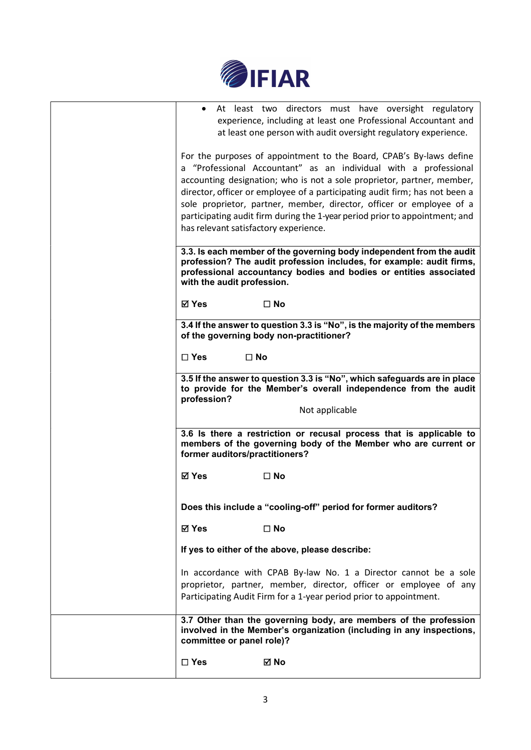

| At least two directors must have oversight regulatory<br>$\bullet$<br>experience, including at least one Professional Accountant and<br>at least one person with audit oversight regulatory experience.                                                                                                                                                                                                                                                                                          |
|--------------------------------------------------------------------------------------------------------------------------------------------------------------------------------------------------------------------------------------------------------------------------------------------------------------------------------------------------------------------------------------------------------------------------------------------------------------------------------------------------|
| For the purposes of appointment to the Board, CPAB's By-laws define<br>a "Professional Accountant" as an individual with a professional<br>accounting designation; who is not a sole proprietor, partner, member,<br>director, officer or employee of a participating audit firm; has not been a<br>sole proprietor, partner, member, director, officer or employee of a<br>participating audit firm during the 1-year period prior to appointment; and<br>has relevant satisfactory experience. |
| 3.3. Is each member of the governing body independent from the audit<br>profession? The audit profession includes, for example: audit firms,<br>professional accountancy bodies and bodies or entities associated<br>with the audit profession.                                                                                                                                                                                                                                                  |
| ⊠ Yes<br>$\square$ No                                                                                                                                                                                                                                                                                                                                                                                                                                                                            |
| 3.4 If the answer to question 3.3 is "No", is the majority of the members<br>of the governing body non-practitioner?                                                                                                                                                                                                                                                                                                                                                                             |
| $\square$ Yes<br>$\square$ No                                                                                                                                                                                                                                                                                                                                                                                                                                                                    |
| 3.5 If the answer to question 3.3 is "No", which safeguards are in place<br>to provide for the Member's overall independence from the audit<br>profession?                                                                                                                                                                                                                                                                                                                                       |
| Not applicable                                                                                                                                                                                                                                                                                                                                                                                                                                                                                   |
| 3.6 Is there a restriction or recusal process that is applicable to<br>members of the governing body of the Member who are current or<br>former auditors/practitioners?                                                                                                                                                                                                                                                                                                                          |
| <b>⊠</b> Yes<br>$\square$ No                                                                                                                                                                                                                                                                                                                                                                                                                                                                     |
| Does this include a "cooling-off" period for former auditors?                                                                                                                                                                                                                                                                                                                                                                                                                                    |
| <b>⊠</b> Yes<br>$\square$ No                                                                                                                                                                                                                                                                                                                                                                                                                                                                     |
| If yes to either of the above, please describe:                                                                                                                                                                                                                                                                                                                                                                                                                                                  |
| In accordance with CPAB By-law No. 1 a Director cannot be a sole<br>proprietor, partner, member, director, officer or employee of any<br>Participating Audit Firm for a 1-year period prior to appointment.                                                                                                                                                                                                                                                                                      |
| 3.7 Other than the governing body, are members of the profession<br>involved in the Member's organization (including in any inspections,<br>committee or panel role)?                                                                                                                                                                                                                                                                                                                            |
| $\square$ Yes<br>⊠ No                                                                                                                                                                                                                                                                                                                                                                                                                                                                            |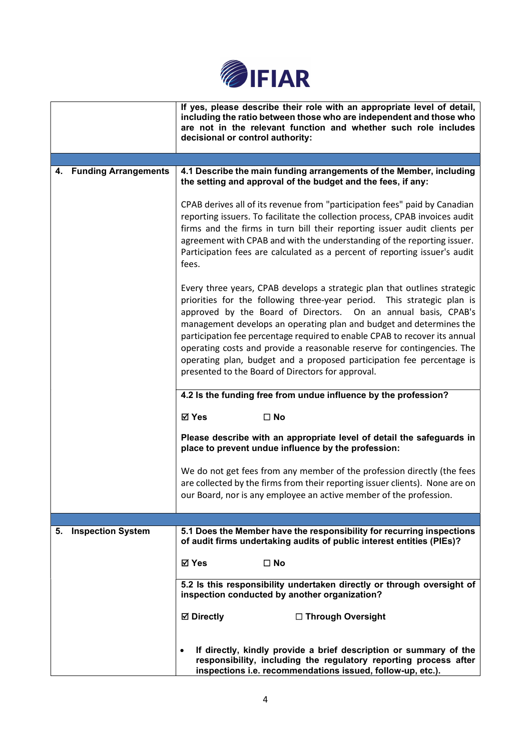

|                         | If yes, please describe their role with an appropriate level of detail,<br>including the ratio between those who are independent and those who<br>are not in the relevant function and whether such role includes<br>decisional or control authority:                                                                                                                                                                                                                                                                                                                               |
|-------------------------|-------------------------------------------------------------------------------------------------------------------------------------------------------------------------------------------------------------------------------------------------------------------------------------------------------------------------------------------------------------------------------------------------------------------------------------------------------------------------------------------------------------------------------------------------------------------------------------|
|                         |                                                                                                                                                                                                                                                                                                                                                                                                                                                                                                                                                                                     |
| 4. Funding Arrangements | 4.1 Describe the main funding arrangements of the Member, including<br>the setting and approval of the budget and the fees, if any:                                                                                                                                                                                                                                                                                                                                                                                                                                                 |
|                         | CPAB derives all of its revenue from "participation fees" paid by Canadian<br>reporting issuers. To facilitate the collection process, CPAB invoices audit<br>firms and the firms in turn bill their reporting issuer audit clients per<br>agreement with CPAB and with the understanding of the reporting issuer.<br>Participation fees are calculated as a percent of reporting issuer's audit<br>fees.                                                                                                                                                                           |
|                         | Every three years, CPAB develops a strategic plan that outlines strategic<br>priorities for the following three-year period. This strategic plan is<br>approved by the Board of Directors. On an annual basis, CPAB's<br>management develops an operating plan and budget and determines the<br>participation fee percentage required to enable CPAB to recover its annual<br>operating costs and provide a reasonable reserve for contingencies. The<br>operating plan, budget and a proposed participation fee percentage is<br>presented to the Board of Directors for approval. |
|                         | 4.2 Is the funding free from undue influence by the profession?                                                                                                                                                                                                                                                                                                                                                                                                                                                                                                                     |
|                         | ⊠ Yes<br>$\Box$ No                                                                                                                                                                                                                                                                                                                                                                                                                                                                                                                                                                  |
|                         | Please describe with an appropriate level of detail the safeguards in<br>place to prevent undue influence by the profession:                                                                                                                                                                                                                                                                                                                                                                                                                                                        |
|                         | We do not get fees from any member of the profession directly (the fees<br>are collected by the firms from their reporting issuer clients). None are on<br>our Board, nor is any employee an active member of the profession.                                                                                                                                                                                                                                                                                                                                                       |
|                         |                                                                                                                                                                                                                                                                                                                                                                                                                                                                                                                                                                                     |
| 5. Inspection System    | 5.1 Does the Member have the responsibility for recurring inspections<br>of audit firms undertaking audits of public interest entities (PIEs)?                                                                                                                                                                                                                                                                                                                                                                                                                                      |
|                         | <b>☑</b> Yes<br>$\square$ No                                                                                                                                                                                                                                                                                                                                                                                                                                                                                                                                                        |
|                         | 5.2 Is this responsibility undertaken directly or through oversight of<br>inspection conducted by another organization?                                                                                                                                                                                                                                                                                                                                                                                                                                                             |
|                         | <b>⊠</b> Directly<br>□ Through Oversight                                                                                                                                                                                                                                                                                                                                                                                                                                                                                                                                            |
|                         | If directly, kindly provide a brief description or summary of the<br>$\bullet$<br>responsibility, including the regulatory reporting process after<br>inspections i.e. recommendations issued, follow-up, etc.).                                                                                                                                                                                                                                                                                                                                                                    |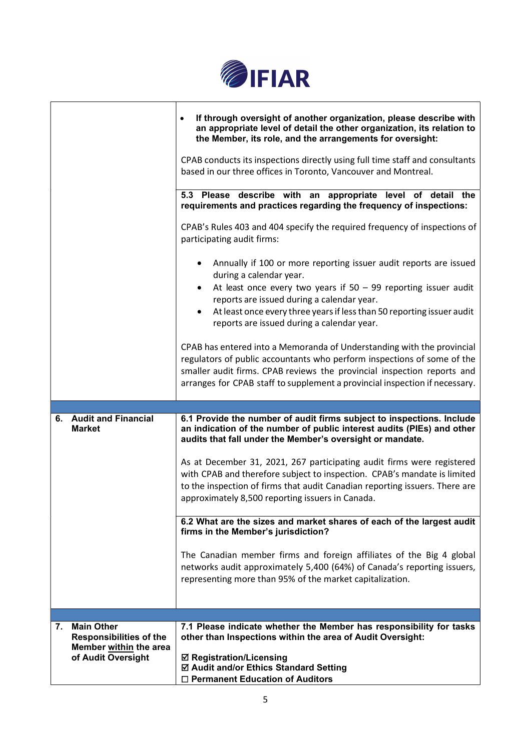

|                                                                                                           | If through oversight of another organization, please describe with<br>an appropriate level of detail the other organization, its relation to<br>the Member, its role, and the arrangements for oversight:<br>CPAB conducts its inspections directly using full time staff and consultants<br>based in our three offices in Toronto, Vancouver and Montreal. |
|-----------------------------------------------------------------------------------------------------------|-------------------------------------------------------------------------------------------------------------------------------------------------------------------------------------------------------------------------------------------------------------------------------------------------------------------------------------------------------------|
|                                                                                                           | 5.3 Please describe with an appropriate level of detail the<br>requirements and practices regarding the frequency of inspections:                                                                                                                                                                                                                           |
|                                                                                                           | CPAB's Rules 403 and 404 specify the required frequency of inspections of<br>participating audit firms:                                                                                                                                                                                                                                                     |
|                                                                                                           | Annually if 100 or more reporting issuer audit reports are issued<br>during a calendar year.<br>At least once every two years if $50 - 99$ reporting issuer audit<br>٠<br>reports are issued during a calendar year.<br>At least once every three years if less than 50 reporting issuer audit                                                              |
|                                                                                                           | reports are issued during a calendar year.<br>CPAB has entered into a Memoranda of Understanding with the provincial<br>regulators of public accountants who perform inspections of some of the<br>smaller audit firms. CPAB reviews the provincial inspection reports and                                                                                  |
|                                                                                                           | arranges for CPAB staff to supplement a provincial inspection if necessary.                                                                                                                                                                                                                                                                                 |
| <b>Audit and Financial</b><br>6.<br><b>Market</b>                                                         | 6.1 Provide the number of audit firms subject to inspections. Include<br>an indication of the number of public interest audits (PIEs) and other<br>audits that fall under the Member's oversight or mandate.                                                                                                                                                |
|                                                                                                           | As at December 31, 2021, 267 participating audit firms were registered<br>with CPAB and therefore subject to inspection. CPAB's mandate is limited<br>to the inspection of firms that audit Canadian reporting issuers. There are<br>approximately 8,500 reporting issuers in Canada.                                                                       |
|                                                                                                           | 6.2 What are the sizes and market shares of each of the largest audit<br>firms in the Member's jurisdiction?                                                                                                                                                                                                                                                |
|                                                                                                           | The Canadian member firms and foreign affiliates of the Big 4 global<br>networks audit approximately 5,400 (64%) of Canada's reporting issuers,<br>representing more than 95% of the market capitalization.                                                                                                                                                 |
|                                                                                                           |                                                                                                                                                                                                                                                                                                                                                             |
| <b>Main Other</b><br>7.<br><b>Responsibilities of the</b><br>Member within the area<br>of Audit Oversight | 7.1 Please indicate whether the Member has responsibility for tasks<br>other than Inspections within the area of Audit Oversight:<br><b>Ø Registration/Licensing</b><br>☑ Audit and/or Ethics Standard Setting<br>□ Permanent Education of Auditors                                                                                                         |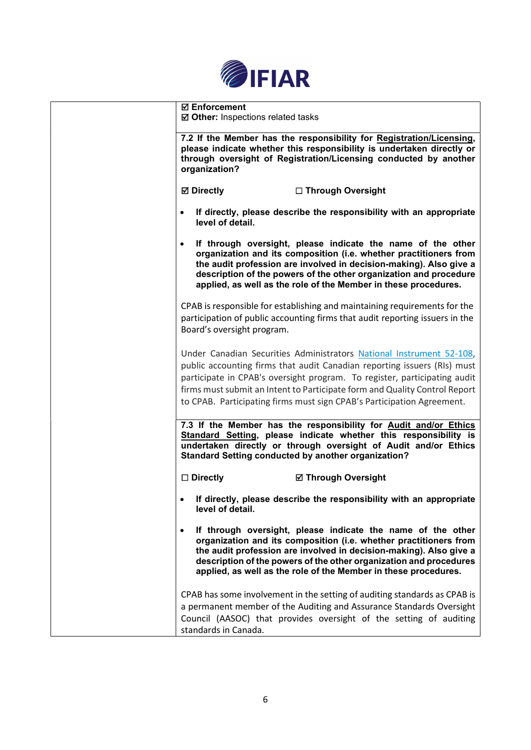

| <b>Ø</b> Enforcement<br>☑ Other: Inspections related tasks                                                                                                                                                                                                                                                                                                                            |
|---------------------------------------------------------------------------------------------------------------------------------------------------------------------------------------------------------------------------------------------------------------------------------------------------------------------------------------------------------------------------------------|
| 7.2 If the Member has the responsibility for Registration/Licensing,<br>please indicate whether this responsibility is undertaken directly or<br>through oversight of Registration/Licensing conducted by another<br>organization?                                                                                                                                                    |
| <b>⊠</b> Directly<br>□ Through Oversight                                                                                                                                                                                                                                                                                                                                              |
| If directly, please describe the responsibility with an appropriate<br>level of detail.                                                                                                                                                                                                                                                                                               |
| If through oversight, please indicate the name of the other<br>organization and its composition (i.e. whether practitioners from<br>the audit profession are involved in decision-making). Also give a<br>description of the powers of the other organization and procedure<br>applied, as well as the role of the Member in these procedures.                                        |
| CPAB is responsible for establishing and maintaining requirements for the<br>participation of public accounting firms that audit reporting issuers in the<br>Board's oversight program.                                                                                                                                                                                               |
| Under Canadian Securities Administrators National Instrument 52-108,<br>public accounting firms that audit Canadian reporting issuers (RIs) must<br>participate in CPAB's oversight program. To register, participating audit<br>firms must submit an Intent to Participate form and Quality Control Report<br>to CPAB. Participating firms must sign CPAB's Participation Agreement. |
| 7.3 If the Member has the responsibility for Audit and/or Ethics<br>Standard Setting, please indicate whether this responsibility is<br>undertaken directly or through oversight of Audit and/or Ethics<br><b>Standard Setting conducted by another organization?</b>                                                                                                                 |
| $\square$ Directly<br><b>Ø Through Oversight</b>                                                                                                                                                                                                                                                                                                                                      |
| If directly, please describe the responsibility with an appropriate<br>level of detail.                                                                                                                                                                                                                                                                                               |
| If through oversight, please indicate the name of the other<br>$\bullet$<br>organization and its composition (i.e. whether practitioners from<br>the audit profession are involved in decision-making). Also give a<br>description of the powers of the other organization and procedures<br>applied, as well as the role of the Member in these procedures.                          |
| CPAB has some involvement in the setting of auditing standards as CPAB is<br>a permanent member of the Auditing and Assurance Standards Oversight<br>Council (AASOC) that provides oversight of the setting of auditing<br>standards in Canada.                                                                                                                                       |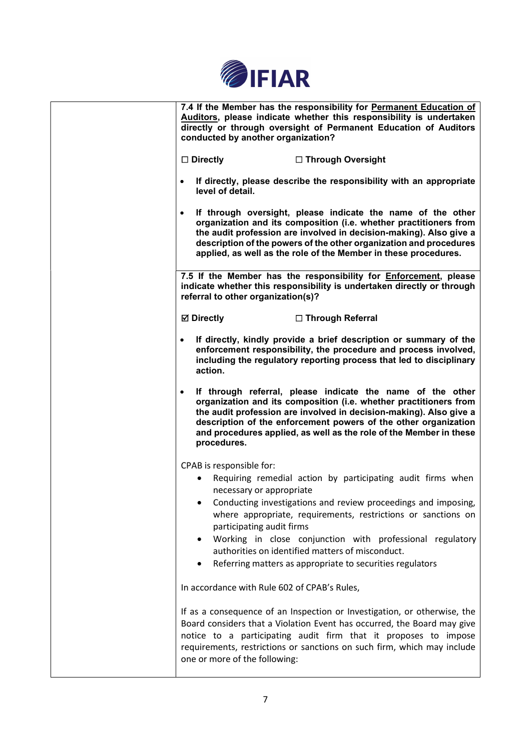

| 7.4 If the Member has the responsibility for Permanent Education of<br>Auditors, please indicate whether this responsibility is undertaken<br>directly or through oversight of Permanent Education of Auditors<br>conducted by another organization?                                                                                                                                                                                                              |
|-------------------------------------------------------------------------------------------------------------------------------------------------------------------------------------------------------------------------------------------------------------------------------------------------------------------------------------------------------------------------------------------------------------------------------------------------------------------|
| $\Box$ Directly<br>□ Through Oversight                                                                                                                                                                                                                                                                                                                                                                                                                            |
| If directly, please describe the responsibility with an appropriate<br>level of detail.                                                                                                                                                                                                                                                                                                                                                                           |
| If through oversight, please indicate the name of the other<br>$\bullet$<br>organization and its composition (i.e. whether practitioners from<br>the audit profession are involved in decision-making). Also give a<br>description of the powers of the other organization and procedures<br>applied, as well as the role of the Member in these procedures.                                                                                                      |
| 7.5 If the Member has the responsibility for <b>Enforcement</b> , please<br>indicate whether this responsibility is undertaken directly or through<br>referral to other organization(s)?                                                                                                                                                                                                                                                                          |
| <b>Ø</b> Directly<br>□ Through Referral                                                                                                                                                                                                                                                                                                                                                                                                                           |
| If directly, kindly provide a brief description or summary of the<br>$\bullet$<br>enforcement responsibility, the procedure and process involved,<br>including the regulatory reporting process that led to disciplinary<br>action.                                                                                                                                                                                                                               |
| If through referral, please indicate the name of the other<br>$\bullet$<br>organization and its composition (i.e. whether practitioners from<br>the audit profession are involved in decision-making). Also give a<br>description of the enforcement powers of the other organization<br>and procedures applied, as well as the role of the Member in these<br>procedures.                                                                                        |
| CPAB is responsible for:<br>Requiring remedial action by participating audit firms when<br>necessary or appropriate<br>Conducting investigations and review proceedings and imposing,<br>where appropriate, requirements, restrictions or sanctions on<br>participating audit firms<br>Working in close conjunction with professional regulatory<br>authorities on identified matters of misconduct.<br>Referring matters as appropriate to securities regulators |
| In accordance with Rule 602 of CPAB's Rules,                                                                                                                                                                                                                                                                                                                                                                                                                      |
| If as a consequence of an Inspection or Investigation, or otherwise, the<br>Board considers that a Violation Event has occurred, the Board may give<br>notice to a participating audit firm that it proposes to impose<br>requirements, restrictions or sanctions on such firm, which may include<br>one or more of the following:                                                                                                                                |